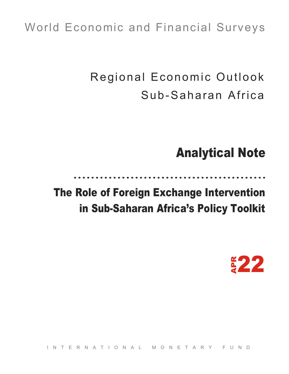# World Economic and Financial Surveys

 Regional Economic Outlook Sub-Saharan Africa

# Analytical Note

 The Role of Foreign Exchange Intervention

# in Sub-Saharan Africa's Policy Toolkit



INTERNATIONAL MONETARY FUND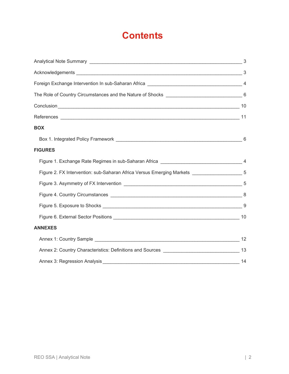## **Contents**

| <b>BOX</b>                                                                                  |  |
|---------------------------------------------------------------------------------------------|--|
|                                                                                             |  |
| <b>FIGURES</b>                                                                              |  |
|                                                                                             |  |
| Figure 2. FX Intervention: sub-Saharan Africa Versus Emerging Markets ____________________5 |  |
|                                                                                             |  |
|                                                                                             |  |
|                                                                                             |  |
|                                                                                             |  |
| <b>ANNEXES</b>                                                                              |  |
|                                                                                             |  |
|                                                                                             |  |
|                                                                                             |  |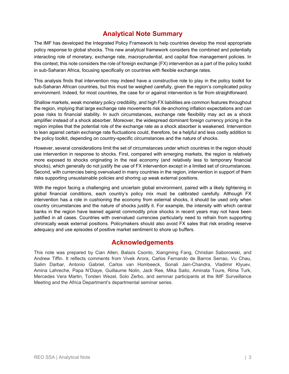## **Analytical Note Summary**

The IMF has developed the Integrated Policy Framework to help countries develop the most appropriate policy response to global shocks. This new analytical framework considers the combined and potentially interacting role of monetary, exchange rate, macroprudential, and capital flow management policies. In this context, this note considers the role of foreign exchange (FX) intervention as a part of the policy toolkit in sub-Saharan Africa, focusing specifically on countries with flexible exchange rates.

This analysis finds that intervention may indeed have a constructive role to play in the policy toolkit for sub-Saharan African countries, but this must be weighed carefully, given the region's complicated policy environment. Indeed, for most countries, the case for or against intervention is far from straightforward.

Shallow markets, weak monetary policy credibility, and high FX liabilities are common features throughout the region, implying that large exchange rate movements risk de-anchoring inflation expectations and can pose risks to financial stability. In such circumstances, exchange rate flexibility may act as a shock amplifier instead of a shock absorber. Moreover, the widespread dominant foreign currency pricing in the region implies that the potential role of the exchange rate as a shock absorber is weakened. Intervention to lean against certain exchange rate fluctuations could, therefore, be a helpful and less costly addition to the policy toolkit, depending on country-specific circumstances and the nature of shocks.

However, several considerations limit the set of circumstances under which countries in the region should use intervention in response to shocks. First, compared with emerging markets, the region is relatively more exposed to shocks originating in the real economy (and relatively less to temporary financial shocks), which generally do not justify the use of FX intervention except in a limited set of circumstances. Second, with currencies being overvalued in many countries in the region, intervention in support of them risks supporting unsustainable policies and shoring up weak external positions.

With the region facing a challenging and uncertain global environment, paired with a likely tightening in global financial conditions, each country's policy mix must be calibrated carefully. Although FX intervention has a role in cushioning the economy from external shocks, it should be used only when country circumstances and the nature of shocks justify it. For example, the intensity with which central banks in the region have leaned against commodity price shocks in recent years may not have been justified in all cases. Countries with overvalued currencies particularly need to refrain from supporting chronically weak external positions. Policymakers should also avoid FX sales that risk eroding reserve adequacy and use episodes of positive market sentiment to shore up buffers.

## **Acknowledgements**

This note was prepared by Cian Allen, Balazs Csonto, Xiangming Fang, Christian Saborowski, and Andrew Tiffin. It reflects comments from Vivek Arora, Carlos Fernando de Barros Serrao, Vu Chau, Salim Darbar, Antonio Gabriel, Carlos van Hombeeck, Sonali Jain-Chandra, Vladimir Klyuev, Amina Lahreche, Papa N'Diaye, Guillaume Nolin, Jack Ree, Mika Saito, Aminata Toure, Rima Turk, Mercedes Vera Martin, Torsten Wezel, Solo Zerbo, and seminar participants at the IMF Surveillance Meeting and the Africa Department's departmental seminar series.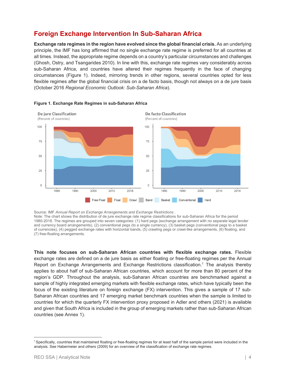## **Foreign Exchange Intervention In Sub-Saharan Africa**

**Exchange rate regimes in the region have evolved since the global financial crisis.** As an underlying principle, the IMF has long affirmed that no single exchange rate regime is preferred for all countries at all times. Instead, the appropriate regime depends on a country's particular circumstances and challenges (Ghosh, Ostry, and Tsangarides 2010). In line with this, exchange rate regimes vary considerably across sub-Saharan Africa, and countries have altered their regimes frequently in the face of changing circumstances (Figure 1). Indeed, mirroring trends in other regions, several countries opted for less flexible regimes after the global financial crisis on a de facto basis, though not always on a de jure basis (October 2016 *Regional Economic Outlook: Sub-Saharan Africa*).



#### **Figure 1. Exchange Rate Regimes in sub-Saharan Africa**

Source: IMF *Annual Report on Exchange Arrangements and Exchange Restrictions* . Note: The chart shows the distribution of de jure exchange rate regime classifications for sub-Saharan Africa for the period 1980-2018. The regimes are grouped into seven categories: (1) hard pegs (exchange arrangement with no separate legal tender and currency board arrangements), (2) conventional pegs (to a single currency), (3) basket pegs (conventional pegs to a basket of currencies), (4) pegged exchange rates with horizontal bands, (5) crawling pegs or crawl-like arrangements, (6) floating, and (7) free-floating arrangements.

**This note focuses on sub-Saharan African countries with flexible exchange rates.** Flexible exchange rates are defined on a de jure basis as either floating or free-floating regimes per the Annual Report on Exchange Arrangements and Exchange Restrictions classification.<sup>1</sup> The analysis thereby applies to about half of sub-Saharan African countries, which account for more than 80 percent of the region's GDP. Throughout the analysis, sub-Saharan African countries are benchmarked against a sample of highly integrated emerging markets with flexible exchange rates, which have typically been the focus of the existing literature on foreign exchange (FX) intervention. This gives a sample of 17 sub-Saharan African countries and 17 emerging market benchmark countries when the sample is limited to countries for which the quarterly FX intervention proxy proposed in Adler and others (2021) is available and given that South Africa is included in the group of emerging markets rather than sub-Saharan African countries (see Annex 1).

<sup>1</sup> Specifically, countries that maintained floating or free-floating regimes for at least half of the sample period were included in the analysis. See Habermeier and others (2009) for an overview of the classification of exchange rate regimes.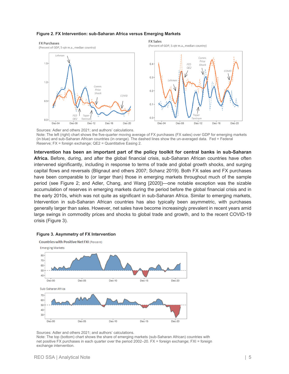#### **Figure 2. FX Intervention: sub-Saharan Africa versus Emerging Markets**



Sources: Adler and others 2021; and authors' calculations. Note: The left (right) chart shows the five-quarter moving average of FX purchases (FX sales) over GDP for emerging markets (in blue) and sub-Saharan African countries (in orange). The dashed lines show the un-averaged data. Fed = Federal Reserve; FX = foreign exchange; QE2 = Quantitative Easing 2.

**Intervention has been an important part of the policy toolkit for central banks in sub-Saharan Africa.** Before, during, and after the global financial crisis, sub-Saharan African countries have often intervened significantly, including in response to terms of trade and global growth shocks, and surging capital flows and reversals (Blignaut and others 2007; Schanz 2019). Both FX sales and FX purchases have been comparable to (or larger than) those in emerging markets throughout much of the sample period (see Figure 2; and Adler, Chang, and Wang [2020])—one notable exception was the sizable accumulation of reserves in emerging markets during the period before the global financial crisis and in the early 2010s, which was not quite as significant in sub-Saharan Africa. Similar to emerging markets, Intervention in sub-Saharan African countries has also typically been asymmetric, with purchases generally larger than sales. However, net sales have become increasingly prevalent in recent years amid large swings in commodity prices and shocks to global trade and growth, and to the recent COVID-19 crisis (Figure 3).

#### **Figure 3. Asymmetry of FX Intervention**



Sources: Adler and others 2021; and authors' calculations.

Note: The top (bottom) chart shows the share of emerging markets (sub-Saharan African) countries with net positive FX purchases in each quarter over the period 2002–20. FX = foreign exchange; FXI = foreign exchange intervention.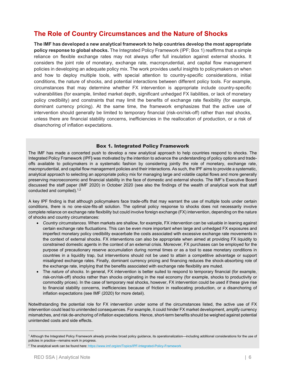## **The Role of Country Circumstances and the Nature of Shocks**

**The IMF has developed a new analytical framework to help countries develop the most appropriate policy response to global shocks.** The Integrated Policy Framework (IPF; Box 1) reaffirms that a simple reliance on flexible exchange rates may not always offer full insulation against external shocks. It considers the joint role of monetary, exchange rate, macroprudential, and capital flow management policies in developing an adequate policy mix. The work provides useful insights to policymakers on when and how to deploy multiple tools, with special attention to country-specific considerations, initial conditions, the nature of shocks, and potential interactions between different policy tools. For example, circumstances that may determine whether FX intervention is appropriate include country-specific vulnerabilities (for example, limited market depth, significant unhedged FX liabilities, or lack of monetary policy credibility) and constraints that may limit the benefits of exchange rate flexibility (for example, dominant currency pricing). At the same time, the framework emphasizes that the active use of intervention should generally be limited to temporary financial (risk-on/risk-off) rather than real shocks, unless there are financial stability concerns, inefficiencies in the reallocation of production, or a risk of disanchoring of inflation expectations.

#### Box 1. Integrated Policy Framework

The IMF has made a concerted push to develop a new analytical approach to help countries respond to shocks. The Integrated Policy Framework (IPF**)** was motivated by the intention to advance the understanding of policy options and tradeoffs available to policymakers in a systematic fashion by considering jointly the role of monetary, exchange rate, macroprudential, and capital flow management policies and their interactions. As such, the IPF aims to provide a systematic, analytical approach to selecting an appropriate policy mix for managing large and volatile capital flows and more generally preserving macroeconomic and financial stability in the face of domestic and external shocks. The IMF's Executive Board discussed the staff paper (IMF 2020) in October 2020 (see also the findings of the wealth of analytical work that staff conducted and compiled).<sup>1,2</sup>

A key IPF finding is that although policymakers face trade-offs that may warrant the use of multiple tools under certain conditions, there is no one-size-fits-all solution. The optimal policy response to shocks does not necessarily involve complete reliance on exchange rate flexibility but could involve foreign exchange (FX) intervention, depending on the nature of shocks and country circumstances:

- *Country circumstances.* When markets are shallow, for example, FX intervention can be valuable in leaning against certain exchange rate fluctuations. This can be even more important when large and unhedged FX exposures and imperfect monetary policy credibility exacerbate the costs associated with excessive exchange rate movements in the context of external shocks. FX interventions can also be appropriate when aimed at providing FX liquidity to constrained domestic agents in the context of an external crisis. Moreover, FX purchases can be employed for the purpose of precautionary reserve accumulation during normal times or as a tool to ease monetary conditions in countries in a liquidity trap, but interventions should not be used to attain a competitive advantage or support misaligned exchange rates. Finally, dominant currency pricing and financing reduces the shock-absorbing role of the exchange rate, implying that the benefits associated with exchange rate flexibility are muted.
- The *nature of shocks*. In general, FX intervention is better suited to respond to temporary financial (for example, risk-on/risk-off) shocks rather than shocks originating in the real economy (for example, shocks to productivity or commodity prices). In the case of temporary real shocks, however, FX intervention could be used if these give rise to financial stability concerns, inefficiencies because of friction in reallocating production, or a disanchoring of inflation expectations (see IMF (2020) for more detail).

Notwithstanding the potential role for FX intervention under some of the circumstances listed, the active use of FX intervention could lead to unintended consequences. For example, it could hinder FX market development, amplify currency mismatches, and risk de-anchoring of inflation expectations. Hence, short-term benefits should be weighed against potential unintended costs and side effects.

j

<sup>&</sup>lt;sup>1</sup> Although the Integrated Policy Framework already provides broad policy guidance, its operationalization—including additional considerations for the use of policies in practice—remains work in progress.

<sup>&</sup>lt;sup>2</sup> The analytical work can be found here: https://www.imf.org/en/Topics/IPF-Integrated-Policy-Framework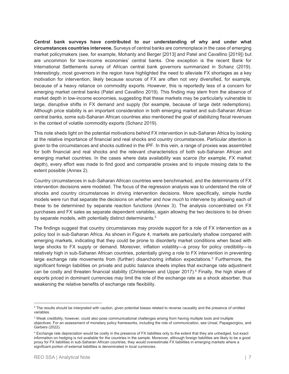**Central bank surveys have contributed to our understanding of why and under what circumstances countries intervene.** Surveys of central banks are commonplace in the case of emerging market policymakers (see, for example, Mohanty and Berger [2013] and Patel and Cavallino [2019]) but are uncommon for low-income economies' central banks. One exception is the recent Bank for International Settlements survey of African central bank governors summarized in Schanz (2019). Interestingly, most governors in the region have highlighted the need to alleviate FX shortages as a key motivation for intervention, likely because sources of FX are often not very diversified, for example, because of a heavy reliance on commodity exports. However, this is reportedly less of a concern for emerging market central banks (Patel and Cavallino 2019). This finding may stem from the absence of market depth in low-income economies, suggesting that these markets may be particularly vulnerable to large, disruptive shifts in FX demand and supply (for example, because of large debt redemptions). Although price stability is an important consideration in both emerging market and sub-Saharan African central banks, some sub-Saharan African countries also mentioned the goal of stabilizing fiscal revenues in the context of volatile commodity exports (Schanz 2019).

This note sheds light on the potential motivations behind FX intervention in sub-Saharan Africa by looking at the relative importance of financial and real shocks and country circumstances. Particular attention is given to the circumstances and shocks outlined in the IPF. In this vein, a range of proxies was assembled for both financial and real shocks and the relevant characteristics of both sub-Saharan African and emerging market countries. In the cases where data availability was scarce (for example, FX market depth), every effort was made to find good and comparable proxies and to impute missing data to the extent possible (Annex 2).

Country circumstances in sub-Saharan African countries were benchmarked, and the determinants of FX intervention decisions were modeled. The focus of the regression analysis was to understand the role of shocks and country circumstances in driving intervention decisions. More specifically, simple hurdle models were run that separate the decisions on *whether* and *how much* to intervene by allowing each of these to be determined by separate reaction functions (Annex 3). The analysis concentrated on FX purchases and FX sales as separate dependent variables, again allowing the two decisions to be driven by separate models, with potentially distinct determinants.<sup>2</sup>

The findings suggest that country circumstances may provide support for a role of FX intervention as a policy tool in sub-Saharan Africa. As shown in Figure 4, markets are particularly shallow compared with emerging markets, indicating that they could be prone to disorderly market conditions when faced with large shocks to FX supply or demand. Moreover, inflation volatility—a proxy for policy credibility—is relatively high in sub-Saharan African countries, potentially giving a role to FX intervention in preventing large exchange rate movements from (further) disanchoring inflation expectations.<sup>3</sup> Furthermore, the significant foreign liabilities on private and public balance sheets implies that exchange rate adjustment can be costly and threaten financial stability (Christensen and Upper 2017).<sup>4</sup> Finally, the high share of exports priced in dominant currencies may limit the role of the exchange rate as a shock absorber, thus weakening the relative benefits of exchange rate flexibility.

 $^2$  The results should be interpreted with caution, given potential biases related to reverse causality and the presence of omitted variables.

 $\rm ^3$  Weak credibility, however, could also pose communicational challenges arising from having multiple tools and multiple objectives. For an assessment of monetary policy frameworks, including the role of communication, see Unsal, Papageorgiou, and Garbers (2022).

<sup>&</sup>lt;sup>4</sup> Exchange rate depreciation would be costly in the presence of FX liabilities only to the extent that they are unhedged, but exact information on hedging is not available for the countries in the sample. Moreover, although foreign liabilities are likely to be a good proxy for FX liabilities in sub-Saharan African countries, they would overestimate FX liabilities in emerging markets where a significant portion of external liabilities is denominated in local currencies.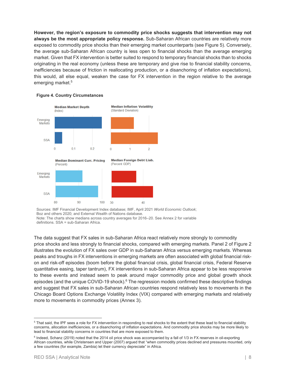**However, the region's exposure to commodity price shocks suggests that intervention may not always be the most appropriate policy response.** Sub-Saharan African countries are relatively more exposed to commodity price shocks than their emerging market counterparts (see Figure 5). Conversely, the average sub-Saharan African country is less open to financial shocks than the average emerging market. Given that FX intervention is better suited to respond to temporary financial shocks than to shocks originating in the real economy (unless these are temporary and give rise to financial stability concerns, inefficiencies because of friction in reallocating production, or a disanchoring of inflation expectations), this would, all else equal, weaken the case for FX intervention in the region relative to the average emerging market.<sup>5</sup>



#### **Figure 4. Country Circumstances**

Sources: IMF Financial Development Index database; IMF, April 2021 *World Economic Outlook*; Boz and others 2020; and External Wealth of Nations database. Note: The charts show medians across country averages for 2016–20. See Annex 2 for variable definitions. SSA = sub-Saharan Africa.

The data suggest that FX sales in sub-Saharan Africa react relatively more strongly to commodity price shocks and less strongly to financial shocks, compared with emerging markets. Panel 2 of Figure 2 illustrates the evolution of FX sales over GDP in sub-Saharan Africa versus emerging markets. Whereas peaks and troughs in FX interventions in emerging markets are often associated with global financial riskon and risk-off episodes (boom before the global financial crisis, global financial crisis, Federal Reserve quantitative easing, taper tantrum), FX interventions in sub-Saharan Africa appear to be less responsive to these events and instead seem to peak around major commodity price and global growth shock episodes (and the unique COVID-19 shock). $6$  The regression models confirmed these descriptive findings and suggest that FX sales in sub-Saharan African countries respond relatively less to movements in the Chicago Board Options Exchange Volatility Index (VIX) compared with emerging markets and relatively more to movements in commodity prices (Annex 3).

 $^5$  That said, the IPF sees a role for FX intervention in responding to real shocks to the extent that these lead to financial stability concerns, allocation inefficiencies, or a disanchoring of inflation expectations. And commodity price shocks may be more likely to lead to financial stability concerns in countries that are more exposed to them.

<sup>&</sup>lt;sup>6</sup> Indeed, Schanz (2019) noted that the 2014 oil price shock was accompanied by a fall of 1/3 in FX reserves in oil-exporting African countries, while Christensen and Upper (2007) argued that "when commodity prices declined and pressures mounted, only a few countries (for example, Zambia) let their currency depreciate" in Africa.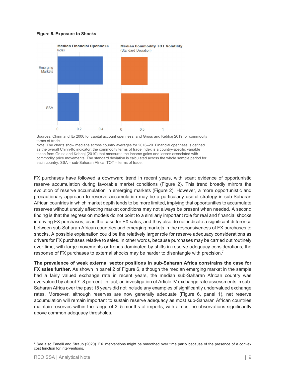#### **Figure 5. Exposure to Shocks**



Sources: Chinn and Ito 2006 for capital account openness; and Gruss and Kebhaj 2019 for commodity terms of trade.

Note: The charts show medians across country averages for 2016–20. Financial openness is defined as the overall Chinn-Ito indicator; the commodity terms of trade index is a country-specific variable taken from Gruss and Kebhaj (2019) that measures the income gains and losses associated with commodity price movements. The standard deviation is calculated across the whole sample period for each country. SSA = sub-Saharan Africa; TOT = terms of trade.

FX purchases have followed a downward trend in recent years, with scant evidence of opportunistic reserve accumulation during favorable market conditions (Figure 2). This trend broadly mirrors the evolution of reserve accumulation in emerging markets (Figure 2). However, a more opportunistic and precautionary approach to reserve accumulation may be a particularly useful strategy in sub-Saharan African countries in which market depth tends to be more limited, implying that opportunities to accumulate reserves without unduly affecting market conditions may not always be present when needed. A second finding is that the regression models do not point to a similarly important role for real and financial shocks in driving FX purchases, as is the case for FX sales, and they also do not indicate a significant difference between sub-Saharan African countries and emerging markets in the responsiveness of FX purchases to shocks. A possible explanation could be the relatively larger role for reserve adequacy considerations as drivers for FX purchases relative to sales. In other words, because purchases may be carried out routinely over time, with large movements or trends dominated by shifts in reserve adequacy considerations, the response of FX purchases to external shocks may be harder to disentangle with precision.**<sup>7</sup>**

**The prevalence of weak external sector positions in sub-Saharan Africa constrains the case for FX sales further.** As shown in panel 2 of Figure 6, although the median emerging market in the sample had a fairly valued exchange rate in recent years, the median sub-Saharan African country was overvalued by about 7–8 percent. In fact, an investigation of Article IV exchange rate assessments in sub-Saharan Africa over the past 15 years did not include any examples of significantly undervalued exchange rates. Moreover, although reserves are now generally adequate (Figure 6, panel 1), net reserve accumulation will remain important to sustain reserve adequacy as most sub-Saharan African countries maintain reserves within the range of 3–5 months of imports, with almost no observations significantly above common adequacy thresholds.

 $^7$  See also Fanelli and Straub (2020). FX interventions might be smoothed over time partly because of the presence of a convex cost function for interventions.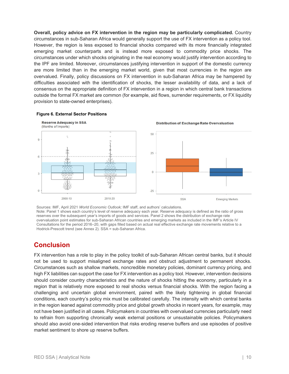**Overall, policy advice on FX intervention in the region may be particularly complicated.** Country circumstances in sub-Saharan Africa would generally support the use of FX intervention as a policy tool. However, the region is less exposed to financial shocks compared with its more financially integrated emerging market counterparts and is instead more exposed to commodity price shocks. The circumstances under which shocks originating in the real economy would justify intervention according to the IPF are limited. Moreover, circumstances justifying intervention in support of the domestic currency are more limited than in the emerging market world, given that most currencies in the region are overvalued. Finally, policy discussions on FX intervention in sub-Saharan Africa may be hampered by difficulties associated with the identification of shocks, the lesser availability of data, and a lack of consensus on the appropriate definition of FX intervention in a region in which central bank transactions outside the formal FX market are common (for example, aid flows, surrender requirements, or FX liquidity provision to state-owned enterprises).



#### **Figure 6. External Sector Positions**

Sources: IMF, April 2021 *World Economic Outlook;* IMF staff, and authors' calculations. Note: Panel 1 shows each country's level of reserve adequacy each year. Reserve adequacy is defined as the ratio of gross reserves over the subsequent year's imports of goods and services. Panel 2 shows the distribution of exchange rate overvaluation point estimates for sub-Saharan African countries and emerging markets as included in the IMF's Article IV Consultations for the period 2016–20, with gaps filled based on actual real effective exchange rate movements relative to a Hodrick-Prescott trend (see Annex 2). SSA = sub-Saharan Africa.

## **Conclusion**

FX intervention has a role to play in the policy toolkit of sub-Saharan African central banks, but it should not be used to support misaligned exchange rates and obstruct adjustment to permanent shocks. Circumstances such as shallow markets, noncredible monetary policies, dominant currency pricing, and high FX liabilities can support the case for FX intervention as a policy tool. However, intervention decisions should consider country characteristics and the nature of shocks hitting the economy, particularly in a region that is relatively more exposed to real shocks versus financial shocks. With the region facing a challenging and uncertain global environment, paired with the likely tightening in global financial conditions, each country's policy mix must be calibrated carefully. The intensity with which central banks in the region leaned against commodity price and global growth shocks in recent years, for example, may not have been justified in all cases. Policymakers in countries with overvalued currencies particularly need to refrain from supporting chronically weak external positions or unsustainable policies. Policymakers should also avoid one-sided intervention that risks eroding reserve buffers and use episodes of positive market sentiment to shore up reserve buffers.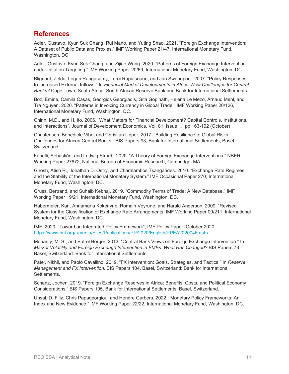## **References**

Adler, Gustavo, Kyun Suk Chang, Rui Mano, and Yuting Shao. 2021. "Foreign Exchange Intervention: A Dataset of Public Data and Proxies." IMF Working Paper 21/47, International Monetary Fund, Washington, DC.

Adler, Gustavo, Kyun Suk Chang, and Zijiao Wang. 2020. "Patterns of Foreign Exchange Intervention under Inflation Targeting." IMF Working Paper 20/69, International Monetary Fund, Washington, DC.

Blignaut, Zelda, Logan Rangasamy, Leroi Raputsoane, and Jan Swanepoel. 2007. "Policy Responses to Increased External Inflows." In *Financial Market Developments in Africa: New Challenges for Central Banks?* Cape Town, South Africa: South African Reserve Bank and Bank for International Settlements.

Boz, Emine, Camila Casas, Georgios Georgiadis, Gita Gopinath, Helena Le Mezo, Arnaud Mehl, and Tra Nguyen. 2020. "Patterns in Invoicing Currency in Global Trade." IMF Working Paper 20/126, International Monetary Fund, Washington, DC.

Chinn, M.D., and H. Ito, 2006, "What Matters for Financial Development? Capital Controls, Institutions, and Interactions", Journal of Development Economics, Vol. 81. Issue 1., pp 163-192 (October)

Christensen, Benedicte Vibe, and Christian Upper. 2017. "Building Resilience to Global Risks: Challenges for African Central Banks." BIS Papers 93, Bank for International Settlements, Basel, Switzerland.

Fanelli, Sebastián, and Ludwig Straub. 2020. "A Theory of Foreign Exchange Interventions." NBER Working Paper 27872, National Bureau of Economic Research, Cambridge, MA.

Ghosh, Atish R., Jonathan D. Ostry, and Charalambos Tsangarides. 2010. "Exchange Rate Regimes and the Stability of the International Monetary System." IMF Occasional Paper 270, International Monetary Fund, Washington, DC.

Gruss, Bertrand, and Suhaib Kebhaj. 2019. "Commodity Terms of Trade: A New Database." IMF Working Paper 19/21, International Monetary Fund, Washington, DC.

Habermeier, Karl, Annamaria Kokenyne, Romain Veyrune, and Harald Anderson. 2009. "Revised System for the Classification of Exchange Rate Arrangements. IMF Working Paper 09/211, International Monetary Fund, Washington, DC.

IMF, 2020, "Toward an Integrated Policy Framework", IMF Policy Paper, October 2020, https://www.imf.org/-/media/Files/Publications/PP/2020/English/PPEA2020046.ashx

Mohanty, M. S., and Bat-el Berger. 2013. "Central Bank Views on Foreign Exchange Intervention." In *Market Volatility and Foreign Exchange Intervention in EMEs: What Has Changed?* BIS Papers 73. Basel, Switzerland: Bank for International Settlements.

Patel, Nikhil, and Paolo Cavallino. 2019. "FX Intervention: Goals, Strategies, and Tactics." In *Reserve Management and FX Intervention.* BIS Papers 104. Basel, Switzerland: Bank for International Settlements.

Schanz, Jochen. 2019. "Foreign Exchange Reserves in Africa: Benefits, Costs, and Political Economy Considerations." BIS Papers 105, Bank for International Settlements, Basel, Switzerland.

Unsal, D. Filiz, Chris Papageorgiou, and Hendre Garbers. 2022. "Monetary Policy Frameworks: An Index and New Evidence." IMF Working Paper 22/22, International Monetary Fund, Washington, DC.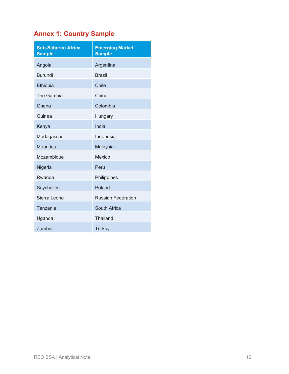## **Annex 1: Country Sample**

| <b>Sub-Saharan Africa</b><br><b>Sample</b> | <b>Emerging Market</b><br><b>Sample</b> |
|--------------------------------------------|-----------------------------------------|
| Angola                                     | Argentina                               |
| <b>Burundi</b>                             | <b>Brazil</b>                           |
| Ethiopia                                   | <b>Chile</b>                            |
| The Gambia                                 | China                                   |
| Ghana                                      | Colombia                                |
| Guinea                                     | Hungary                                 |
| Kenya                                      | India                                   |
| Madagascar                                 | Indonesia                               |
| <b>Mauritius</b>                           | Malaysia                                |
| Mozambique                                 | <b>Mexico</b>                           |
| Nigeria                                    | Peru                                    |
| Rwanda                                     | Philippines                             |
| Seychelles                                 | Poland                                  |
| Sierra Leone                               | <b>Russian Federation</b>               |
| Tanzania                                   | South Africa                            |
| Uganda                                     | <b>Thailand</b>                         |
| Zambia                                     | <b>Turkey</b>                           |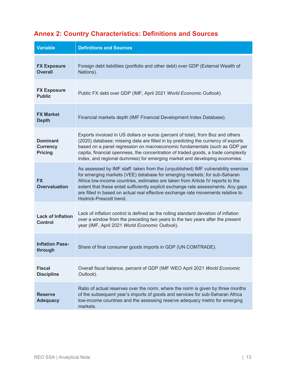## **Annex 2: Country Characteristics: Definitions and Sources**

| <b>Variable</b>                                      | <b>Definitions and Sources</b>                                                                                                                                                                                                                                                                                                                                                                                                                         |
|------------------------------------------------------|--------------------------------------------------------------------------------------------------------------------------------------------------------------------------------------------------------------------------------------------------------------------------------------------------------------------------------------------------------------------------------------------------------------------------------------------------------|
| <b>FX Exposure</b><br><b>Overall</b>                 | Foreign debt liabilities (portfolio and other debt) over GDP (External Wealth of<br>Nations).                                                                                                                                                                                                                                                                                                                                                          |
| <b>FX Exposure</b><br><b>Public</b>                  | Public FX debt over GDP (IMF, April 2021 World Economic Outlook).                                                                                                                                                                                                                                                                                                                                                                                      |
| <b>FX Market</b><br><b>Depth</b>                     | Financial markets depth (IMF Financial Development Index Database).                                                                                                                                                                                                                                                                                                                                                                                    |
| <b>Dominant</b><br><b>Currency</b><br><b>Pricing</b> | Exports invoiced in US dollars or euros (percent of total), from Boz and others<br>(2020) database; missing data are filled in by predicting the currency of exports<br>based on a panel regression on macroeconomic fundamentals (such as GDP per<br>capita, financial openness, the concentration of traded goods, a trade complexity<br>index, and regional dummies) for emerging market and developing economies.                                  |
| <b>FX</b><br><b>Overvaluation</b>                    | As assessed by IMF staff: taken from the (unpublished) IMF vulnerability exercise<br>for emerging markets (VEE) database for emerging markets; for sub-Saharan<br>Africa low-income countries, estimates are taken from Article IV reports to the<br>extent that these entail sufficiently explicit exchange rate assessments. Any gaps<br>are filled in based on actual real effective exchange rate movements relative to<br>Hodrick-Prescott trend. |
| <b>Lack of Inflation</b><br><b>Control</b>           | Lack of inflation control is defined as the rolling standard deviation of inflation<br>over a window from the preceding two years to the two years after the present<br>year (IMF, April 2021 World Economic Outlook).                                                                                                                                                                                                                                 |
| <b>Inflation Pass-</b><br>through                    | Share of final consumer goods imports in GDP (UN COMTRADE).                                                                                                                                                                                                                                                                                                                                                                                            |
| <b>Fiscal</b><br><b>Discipline</b>                   | Overall fiscal balance, percent of GDP (IMF WEO April 2021 World Economic<br>Outlook).                                                                                                                                                                                                                                                                                                                                                                 |
| <b>Reserve</b><br><b>Adequacy</b>                    | Ratio of actual reserves over the norm, where the norm is given by three months<br>of the subsequent year's imports of goods and services for sub-Saharan Africa<br>low-income countries and the assessing reserve adequacy metric for emerging<br>markets.                                                                                                                                                                                            |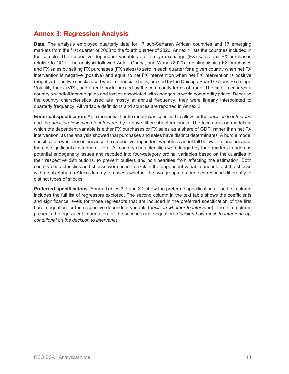## **Annex 3: Regression Analysis**

**Data.** The analysis employed quarterly data for 17 sub-Saharan African countries and 17 emerging markets from the first quarter of 2003 to the fourth quarter of 2020. Annex 1 lists the countries included in the sample. The respective dependent variables are foreign exchange (FX) sales and FX purchases relative to GDP. The analysis followed Adler, Chang, and Wang (2020) in distinguishing FX purchases and FX sales by setting FX purchases (FX sales) to zero in each quarter for a given country when net FX intervention is negative (positive) and equal to net FX intervention when net FX intervention is positive (negative). The two shocks used were a financial shock, proxied by the Chicago Board Options Exchange Volatility Index (VIX), and a real shock, proxied by the commodity terms of trade. The latter measures a country's windfall income gains and losses associated with changes in world commodity prices. Because the country characteristics used are mostly at annual frequency, they were linearly interpolated to quarterly frequency. All variable definitions and sources are reported in Annex 2.

**Empirical specification.** An exponential hurdle model was specified to allow for the *decision to intervene* and the *decision how much to intervene by* to have different determinants. The focus was on models in which the dependent variable is either FX purchases or FX sales as a share of GDP, rather than net FX intervention, as the analysis showed that purchases and sales have distinct determinants. A hurdle model specification was chosen because the respective dependent variables cannot fall below zero and because there is significant clustering at zero. All country characteristics were lagged by four quarters to address potential endogeneity issues and recoded into four-category ordinal variables based on the quartiles in their respective distributions, to prevent outliers and nonlinearities from affecting the estimation. Both country characteristics and shocks were used to explain the dependent variable and interact the shocks with a sub-Saharan Africa dummy to assess whether the two groups of countries respond differently to distinct types of shocks.

**Preferred specifications.** Annex Tables 3.1 and 3.2 show the preferred specifications. The first column includes the full list of regressors explored. The second column in the text table shows the coefficients and significance levels for those regressors that are included in the preferred specification of the first hurdle equation for the respective dependent variable (*decision whether to intervene*). The third column presents the equivalent information for the second hurdle equation (*decision how much to intervene by, conditional on the decision to intervene*).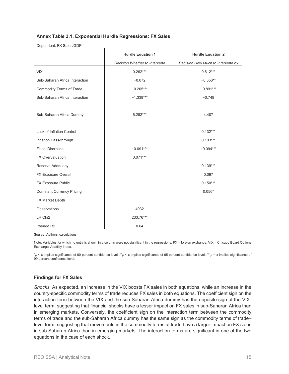#### **Annex Table 3.1. Exponential Hurdle Regressions: FX Sales**

#### Dependent: FX Sales/GDP

|                                  | <b>Hurdle Equation 1</b>      | <b>Hurdle Equation 2</b>          |
|----------------------------------|-------------------------------|-----------------------------------|
|                                  | Decision Whether to Intervene | Decision How Much to Intervene by |
| <b>VIX</b>                       | $0.262***$                    | $0.612***$                        |
| Sub-Saharan Africa Interaction   | $-0.072$                      | $-0.356**$                        |
| <b>Commodity Terms of Trade</b>  | $-0.205***$                   | $-0.891***$                       |
| Sub-Saharan Africa Interaction   | $-1.338***$                   | $-0.749$                          |
|                                  |                               |                                   |
| Sub-Saharan Africa Dummy         | $6.282***$                    | 4.407                             |
|                                  |                               |                                   |
| Lack of Inflation Control        |                               | $0.132***$                        |
| Inflation Pass-through           |                               | $0.103***$                        |
| <b>Fiscal Discipline</b>         | $-0.091***$                   | $-0.094***$                       |
| <b>FX Overvaluation</b>          | $0.071***$                    |                                   |
| Reserve Adequacy                 |                               | $0.139***$                        |
| FX Exposure Overall              |                               | 0.097                             |
| FX Exposure Public               |                               | $0.150***$                        |
| <b>Dominant Currency Pricing</b> |                               | $0.056*$                          |
| FX Market Depth                  |                               |                                   |
| Observations                     | 4032                          |                                   |
| LR Chi <sub>2</sub>              | 233.76***                     |                                   |
| Pseudo R2                        | 0.04                          |                                   |

Source: Authors' calculations.

Note: Variables for which no entry is shown in a column were not significant in the regressions. FX = foreign exchange; VIX = Chicago Board Options Exchange Volatility Index.

\**p* < x implies significance of 90 percent confidence level; \*\**p* < x implies significance of 95 percent confidence level; \*\*\**p* < x implies significance of 99 percent confidence level.

#### **Findings for FX Sales**

*Shocks.* As expected, an increase in the VIX boosts FX sales in both equations, while an increase in the country-specific commodity terms of trade reduces FX sales in both equations. The coefficient sign on the interaction term between the VIX and the sub-Saharan Africa dummy has the opposite sign of the VIXlevel term, suggesting that financial shocks have a lesser impact on FX sales in sub-Saharan Africa than in emerging markets. Conversely, the coefficient sign on the interaction term between the commodity terms of trade and the sub-Saharan Africa dummy has the same sign as the commodity terms of trade– level term, suggesting that movements in the commodity terms of trade have a larger impact on FX sales in sub-Saharan Africa than in emerging markets. The interaction terms are significant in one of the two equations in the case of each shock.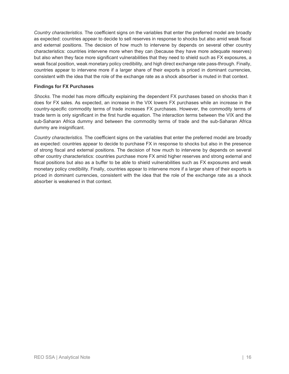*Country characteristics.* The coefficient signs on the variables that enter the preferred model are broadly as expected: countries appear to decide to sell reserves in response to shocks but also amid weak fiscal and external positions. The decision of how much to intervene by depends on several other country characteristics: countries intervene more when they can (because they have more adequate reserves) but also when they face more significant vulnerabilities that they need to shield such as FX exposures, a weak fiscal position, weak monetary policy credibility, and high direct exchange rate pass-through. Finally, countries appear to intervene more if a larger share of their exports is priced in dominant currencies, consistent with the idea that the role of the exchange rate as a shock absorber is muted in that context.

#### **Findings for FX Purchases**

*Shocks.* The model has more difficulty explaining the dependent FX purchases based on shocks than it does for FX sales. As expected, an increase in the VIX lowers FX purchases while an increase in the country-specific commodity terms of trade increases FX purchases. However, the commodity terms of trade term is only significant in the first hurdle equation. The interaction terms between the VIX and the sub-Saharan Africa dummy and between the commodity terms of trade and the sub-Saharan Africa dummy are insignificant.

*Country characteristics.* The coefficient signs on the variables that enter the preferred model are broadly as expected: countries appear to decide to purchase FX in response to shocks but also in the presence of strong fiscal and external positions. The decision of how much to intervene by depends on several other country characteristics: countries purchase more FX amid higher reserves and strong external and fiscal positions but also as a buffer to be able to shield vulnerabilities such as FX exposures and weak monetary policy credibility. Finally, countries appear to intervene more if a larger share of their exports is priced in dominant currencies, consistent with the idea that the role of the exchange rate as a shock absorber is weakened in that context.